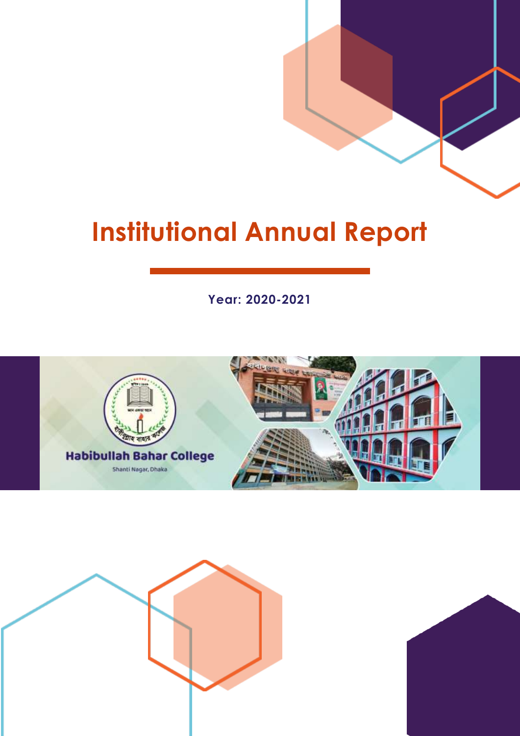# **Institutional Annual Report**

**Year: 2020-2021**





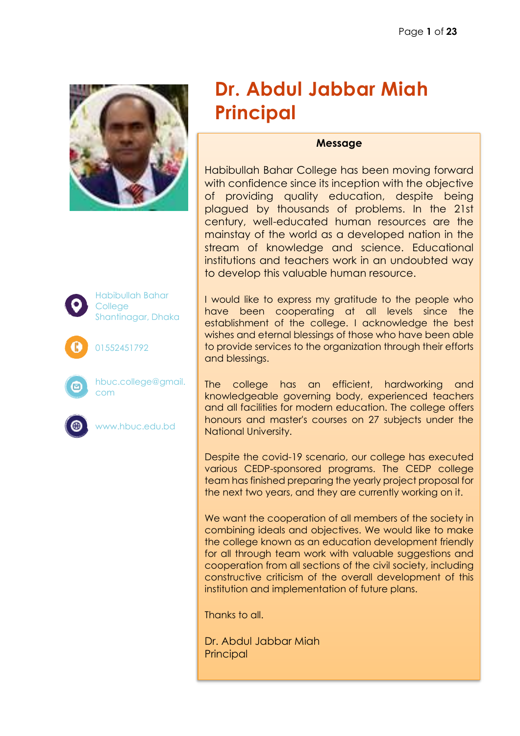



#### **Message**

Habibullah Bahar College has been moving forward with confidence since its inception with the objective of providing quality education, despite being plagued by thousands of problems. In the 21st century, well-educated human resources are the mainstay of the world as a developed nation in the stream of knowledge and science. Educational institutions and teachers work in an undoubted way to develop this valuable human resource.

I would like to express my gratitude to the people who have been cooperating at all levels since the establishment of the college. I acknowledge the best wishes and eternal blessings of those who have been able to provide services to the organization through their efforts and blessings.

The college has an efficient, hardworking and knowledgeable governing body, experienced teachers and all facilities for modern education. The college offers honours and master's courses on 27 subjects under the National University.

Despite the covid-19 scenario, our college has executed various CEDP-sponsored programs. The CEDP college team has finished preparing the yearly project proposal for the next two years, and they are currently working on it.

We want the cooperation of all members of the society in combining ideals and objectives. We would like to make the college known as an education development friendly for all through team work with valuable suggestions and cooperation from all sections of the civil society, including constructive criticism of the overall development of this institution and implementation of future plans.

Thanks to all.

Dr. Abdul Jabbar Miah **Principal** 



Habibullah Bahar **College** Shantinagar, Dhaka

01552451792





hbuc.college@gmail. com



www.hbuc.edu.bd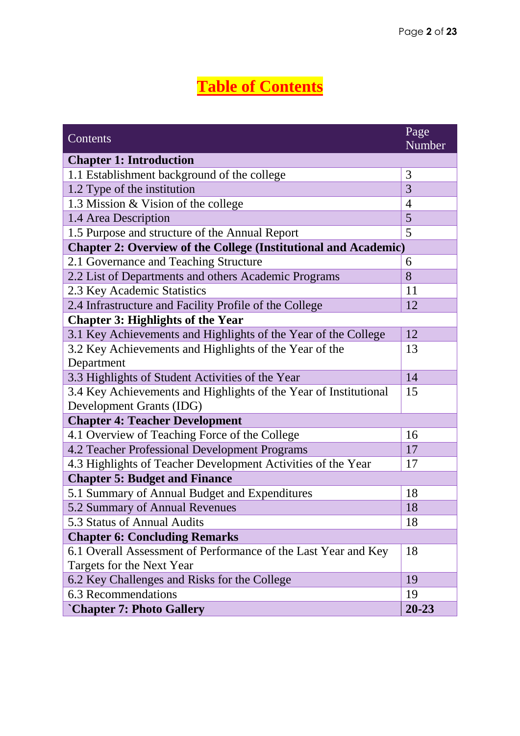# **Table of Contents**

| Contents                                                               | Page<br>Number |  |
|------------------------------------------------------------------------|----------------|--|
| <b>Chapter 1: Introduction</b>                                         |                |  |
| 1.1 Establishment background of the college                            | 3              |  |
| 1.2 Type of the institution                                            | 3              |  |
| 1.3 Mission & Vision of the college                                    | 4              |  |
| 1.4 Area Description                                                   | 5              |  |
| 1.5 Purpose and structure of the Annual Report                         | 5              |  |
| <b>Chapter 2: Overview of the College (Institutional and Academic)</b> |                |  |
| 2.1 Governance and Teaching Structure                                  | 6              |  |
| 2.2 List of Departments and others Academic Programs                   | 8              |  |
| 2.3 Key Academic Statistics                                            | 11             |  |
| 2.4 Infrastructure and Facility Profile of the College                 | 12             |  |
| <b>Chapter 3: Highlights of the Year</b>                               |                |  |
| 3.1 Key Achievements and Highlights of the Year of the College         | 12             |  |
| 3.2 Key Achievements and Highlights of the Year of the                 | 13             |  |
| Department                                                             |                |  |
| 3.3 Highlights of Student Activities of the Year                       |                |  |
| 3.4 Key Achievements and Highlights of the Year of Institutional       |                |  |
| Development Grants (IDG)                                               |                |  |
| <b>Chapter 4: Teacher Development</b>                                  |                |  |
| 4.1 Overview of Teaching Force of the College                          | 16             |  |
| 4.2 Teacher Professional Development Programs                          | 17             |  |
| 4.3 Highlights of Teacher Development Activities of the Year           | 17             |  |
| <b>Chapter 5: Budget and Finance</b>                                   |                |  |
| 5.1 Summary of Annual Budget and Expenditures                          | 18             |  |
| 5.2 Summary of Annual Revenues                                         | 18             |  |
| 5.3 Status of Annual Audits                                            | 18             |  |
| <b>Chapter 6: Concluding Remarks</b>                                   |                |  |
| 6.1 Overall Assessment of Performance of the Last Year and Key         | 18             |  |
| Targets for the Next Year                                              |                |  |
| 6.2 Key Challenges and Risks for the College                           | 19             |  |
| 6.3 Recommendations                                                    | 19             |  |
| <b>Chapter 7: Photo Gallery</b>                                        | $20 - 23$      |  |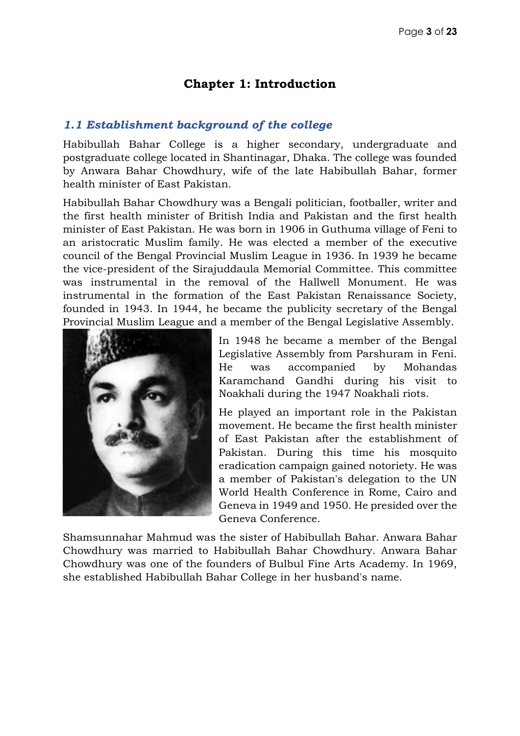#### **Chapter 1: Introduction**

#### *1.1 Establishment background of the college*

Habibullah Bahar College is a higher secondary, undergraduate and postgraduate college located in Shantinagar, Dhaka. The college was founded by Anwara Bahar Chowdhury, wife of the late Habibullah Bahar, former health minister of East Pakistan.

Habibullah Bahar Chowdhury was a Bengali politician, footballer, writer and the first health minister of British India and Pakistan and the first health minister of East Pakistan. He was born in 1906 in Guthuma village of Feni to an aristocratic Muslim family. He was elected a member of the executive council of the Bengal Provincial Muslim League in 1936. In 1939 he became the vice-president of the Sirajuddaula Memorial Committee. This committee was instrumental in the removal of the Hallwell Monument. He was instrumental in the formation of the East Pakistan Renaissance Society, founded in 1943. In 1944, he became the publicity secretary of the Bengal Provincial Muslim League and a member of the Bengal Legislative Assembly.



In 1948 he became a member of the Bengal Legislative Assembly from Parshuram in Feni. He was accompanied by Mohandas Karamchand Gandhi during his visit to Noakhali during the 1947 Noakhali riots.

He played an important role in the Pakistan movement. He became the first health minister of East Pakistan after the establishment of Pakistan. During this time his mosquito eradication campaign gained notoriety. He was a member of Pakistan's delegation to the UN World Health Conference in Rome, Cairo and Geneva in 1949 and 1950. He presided over the Geneva Conference.

Shamsunnahar Mahmud was the sister of Habibullah Bahar. Anwara Bahar Chowdhury was married to Habibullah Bahar Chowdhury. Anwara Bahar Chowdhury was one of the founders of Bulbul Fine Arts Academy. In 1969, she established Habibullah Bahar College in her husband's name.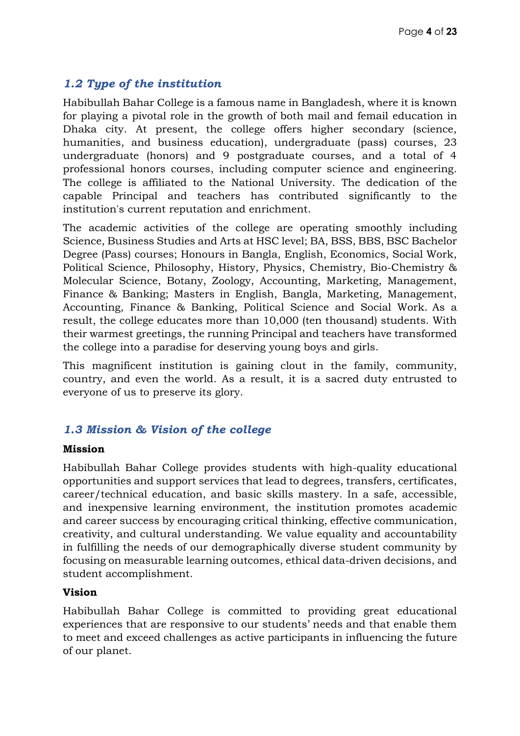#### *1.2 Type of the institution*

Habibullah Bahar College is a famous name in Bangladesh, where it is known for playing a pivotal role in the growth of both mail and femail education in Dhaka city. At present, the college offers higher secondary (science, humanities, and business education), undergraduate (pass) courses, 23 undergraduate (honors) and 9 postgraduate courses, and a total of 4 professional honors courses, including computer science and engineering. The college is affiliated to the National University. The dedication of the capable Principal and teachers has contributed significantly to the institution's current reputation and enrichment.

The academic activities of the college are operating smoothly including Science, Business Studies and Arts at HSC level; BA, BSS, BBS, BSC Bachelor Degree (Pass) courses; Honours in Bangla, English, Economics, Social Work, Political Science, Philosophy, History, Physics, Chemistry, Bio-Chemistry & Molecular Science, Botany, Zoology, Accounting, Marketing, Management, Finance & Banking; Masters in English, Bangla, Marketing, Management, Accounting, Finance & Banking, Political Science and Social Work. As a result, the college educates more than 10,000 (ten thousand) students. With their warmest greetings, the running Principal and teachers have transformed the college into a paradise for deserving young boys and girls.

This magnificent institution is gaining clout in the family, community, country, and even the world. As a result, it is a sacred duty entrusted to everyone of us to preserve its glory.

#### *1.3 Mission & Vision of the college*

#### **Mission**

Habibullah Bahar College provides students with high-quality educational opportunities and support services that lead to degrees, transfers, certificates, career/technical education, and basic skills mastery. In a safe, accessible, and inexpensive learning environment, the institution promotes academic and career success by encouraging critical thinking, effective communication, creativity, and cultural understanding. We value equality and accountability in fulfilling the needs of our demographically diverse student community by focusing on measurable learning outcomes, ethical data-driven decisions, and student accomplishment.

#### **Vision**

Habibullah Bahar College is committed to providing great educational experiences that are responsive to our students' needs and that enable them to meet and exceed challenges as active participants in influencing the future of our planet.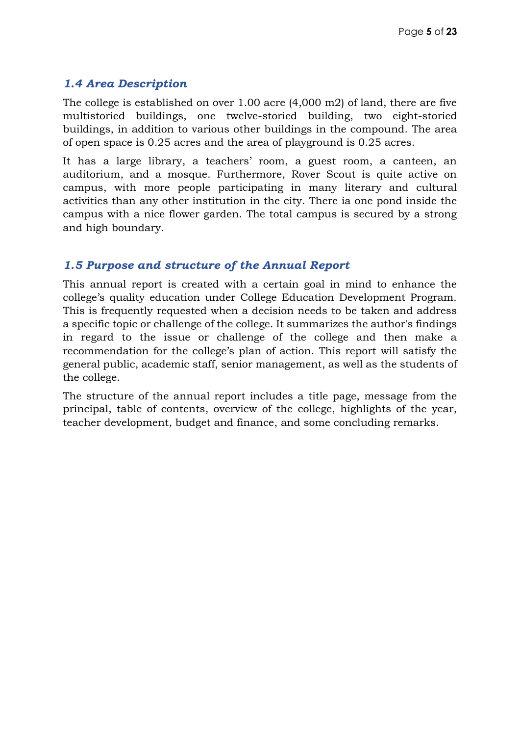#### *1.4 Area Description*

The college is established on over 1.00 acre (4,000 m2) of land, there are five multistoried buildings, one twelve-storied building, two eight-storied buildings, in addition to various other buildings in the compound. The area of open space is 0.25 acres and the area of playground is 0.25 acres.

It has a large library, a teachers' room, a guest room, a canteen, an auditorium, and a mosque. Furthermore, Rover Scout is quite active on campus, with more people participating in many literary and cultural activities than any other institution in the city. There ia one pond inside the campus with a nice flower garden. The total campus is secured by a strong and high boundary.

#### *1.5 Purpose and structure of the Annual Report*

This annual report is created with a certain goal in mind to enhance the college's quality education under College Education Development Program. This is frequently requested when a decision needs to be taken and address a specific topic or challenge of the college. It summarizes the author's findings in regard to the issue or challenge of the college and then make a recommendation for the college's plan of action. This report will satisfy the general public, academic staff, senior management, as well as the students of the college.

The structure of the annual report includes a title page, message from the principal, table of contents, overview of the college, highlights of the year, teacher development, budget and finance, and some concluding remarks.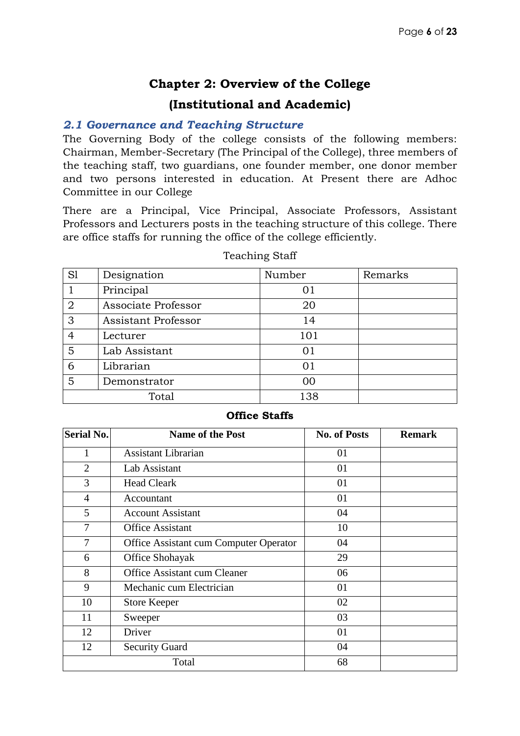#### **Chapter 2: Overview of the College**

#### **(Institutional and Academic)**

#### *2.1 Governance and Teaching Structure*

The Governing Body of the college consists of the following members: Chairman, Member-Secretary (The Principal of the College), three members of the teaching staff, two guardians, one founder member, one donor member and two persons interested in education. At Present there are Adhoc Committee in our College

There are a Principal, Vice Principal, Associate Professors, Assistant Professors and Lecturers posts in the teaching structure of this college. There are office staffs for running the office of the college efficiently.

| S1             | Designation                | Number | Remarks |
|----------------|----------------------------|--------|---------|
|                | Principal                  | 01     |         |
| $\overline{2}$ | Associate Professor        | 20     |         |
| 3              | <b>Assistant Professor</b> | 14     |         |
| 4              | Lecturer                   | 101    |         |
| 5              | Lab Assistant              | 01     |         |
| 6              | Librarian                  | 01     |         |
| 5              | Demonstrator               | 00     |         |
|                | Total                      | 138    |         |

#### Teaching Staff

#### **Office Staffs**

| <b>Serial No.</b> | <b>Name of the Post</b>                | <b>No. of Posts</b> | <b>Remark</b> |
|-------------------|----------------------------------------|---------------------|---------------|
| 1                 | <b>Assistant Librarian</b>             | 01                  |               |
| $\overline{2}$    | Lab Assistant                          | 01                  |               |
| 3                 | <b>Head Cleark</b>                     | 01                  |               |
| $\overline{4}$    | Accountant                             | 01                  |               |
| 5                 | <b>Account Assistant</b>               | 04                  |               |
| $\overline{7}$    | <b>Office Assistant</b>                | 10                  |               |
| 7                 | Office Assistant cum Computer Operator | 04                  |               |
| 6                 | Office Shohayak                        | 29                  |               |
| 8                 | Office Assistant cum Cleaner           | 06                  |               |
| 9                 | Mechanic cum Electrician               | 01                  |               |
| 10                | <b>Store Keeper</b>                    | 02                  |               |
| 11                | Sweeper                                | 03                  |               |
| 12                | Driver                                 | 01                  |               |
| 12                | <b>Security Guard</b>                  | 04                  |               |
|                   | Total                                  | 68                  |               |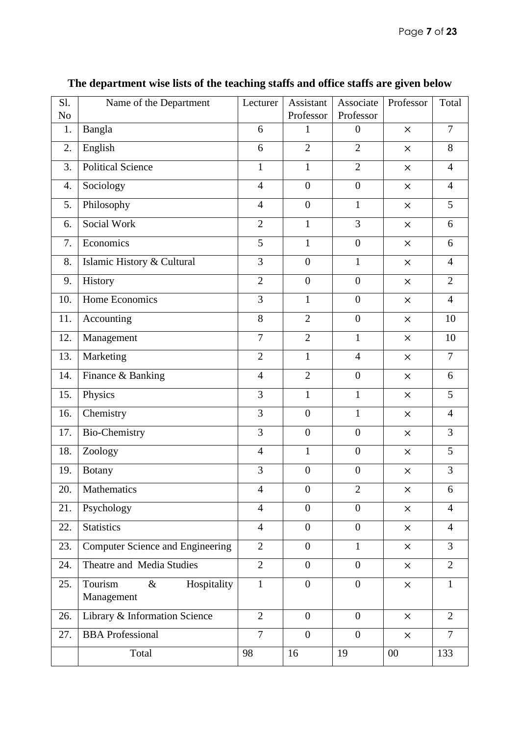| Sl.            | Name of the Department                       | Lecturer       | Assistant        | Associate        | Professor | Total          |
|----------------|----------------------------------------------|----------------|------------------|------------------|-----------|----------------|
| N <sub>o</sub> |                                              |                | Professor        | Professor        |           | $\overline{7}$ |
| 1.             | Bangla                                       | 6              | $\mathbf{1}$     | $\overline{0}$   | $\times$  |                |
| 2.             | English                                      | 6              | $\overline{2}$   | $\overline{2}$   | $\times$  | 8              |
| 3.             | <b>Political Science</b>                     | $\mathbf{1}$   | $\mathbf{1}$     | $\overline{2}$   | $\times$  | $\overline{4}$ |
| 4.             | Sociology                                    | $\overline{4}$ | $\boldsymbol{0}$ | $\boldsymbol{0}$ | $\times$  | $\overline{4}$ |
| 5.             | Philosophy                                   | $\overline{4}$ | $\boldsymbol{0}$ | $\mathbf{1}$     | $\times$  | 5              |
| 6.             | Social Work                                  | $\overline{2}$ | $\mathbf{1}$     | 3                | $\times$  | 6              |
| 7.             | Economics                                    | 5              | $\mathbf{1}$     | $\overline{0}$   | $\times$  | 6              |
| 8.             | Islamic History & Cultural                   | $\overline{3}$ | $\boldsymbol{0}$ | $\mathbf{1}$     | $\times$  | $\overline{4}$ |
| 9.             | History                                      | $\overline{2}$ | $\boldsymbol{0}$ | $\overline{0}$   | $\times$  | $\overline{2}$ |
| 10.            | Home Economics                               | 3              | $\mathbf{1}$     | $\overline{0}$   | $\times$  | $\overline{4}$ |
| 11.            | Accounting                                   | 8              | $\overline{2}$   | $\overline{0}$   | $\times$  | 10             |
| 12.            | Management                                   | $\overline{7}$ | $\overline{2}$   | $\mathbf{1}$     | $\times$  | 10             |
| 13.            | Marketing                                    | $\overline{2}$ | $\mathbf{1}$     | $\overline{4}$   | $\times$  | $\overline{7}$ |
| 14.            | Finance & Banking                            | $\overline{4}$ | $\overline{2}$   | $\overline{0}$   | $\times$  | 6              |
| 15.            | Physics                                      | $\overline{3}$ | $\mathbf{1}$     | $\mathbf{1}$     | $\times$  | $\overline{5}$ |
| 16.            | Chemistry                                    | $\overline{3}$ | $\overline{0}$   | $\mathbf{1}$     | $\times$  | $\overline{4}$ |
| 17.            | <b>Bio-Chemistry</b>                         | 3              | $\boldsymbol{0}$ | $\boldsymbol{0}$ | $\times$  | 3              |
| 18.            | Zoology                                      | $\overline{4}$ | $\mathbf{1}$     | $\boldsymbol{0}$ | $\times$  | 5              |
| 19.            | <b>Botany</b>                                | 3              | $\boldsymbol{0}$ | $\boldsymbol{0}$ | $\times$  | 3              |
|                | 20.   Mathematics                            | $\overline{4}$ | $\boldsymbol{0}$ | $\overline{2}$   | ×         | 6              |
| 21.            | Psychology                                   | $\overline{4}$ | $\overline{0}$   | $\overline{0}$   | $\times$  | $\overline{4}$ |
| 22.            | <b>Statistics</b>                            | $\overline{4}$ | $\boldsymbol{0}$ | $\mathbf{0}$     | $\times$  | $\overline{4}$ |
| 23.            | <b>Computer Science and Engineering</b>      | $\overline{2}$ | $\overline{0}$   | $\mathbf{1}$     | $\times$  | $\overline{3}$ |
| 24.            | Theatre and Media Studies                    | $\overline{2}$ | $\overline{0}$   | $\overline{0}$   | $\times$  | $\overline{2}$ |
| 25.            | Tourism<br>Hospitality<br>$\&$<br>Management | $\mathbf{1}$   | $\boldsymbol{0}$ | $\mathbf{0}$     | $\times$  | $\mathbf{1}$   |
| 26.            | Library & Information Science                | $\overline{2}$ | $\overline{0}$   | $\overline{0}$   | $\times$  | $\overline{2}$ |
| 27.            | <b>BBA</b> Professional                      | $\overline{7}$ | $\overline{0}$   | $\overline{0}$   | $\times$  | $\overline{7}$ |
|                | Total                                        | 98             | 16               | 19               | $00\,$    | 133            |

# **The department wise lists of the teaching staffs and office staffs are given below**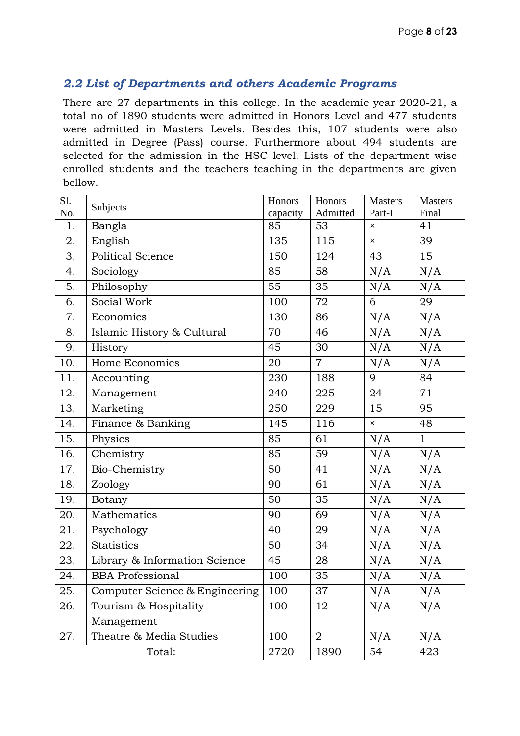#### *2.2 List of Departments and others Academic Programs*

There are 27 departments in this college. In the academic year 2020-21, a total no of 1890 students were admitted in Honors Level and 477 students were admitted in Masters Levels. Besides this, 107 students were also admitted in Degree (Pass) course. Furthermore about 494 students are selected for the admission in the HSC level. Lists of the department wise enrolled students and the teachers teaching in the departments are given bellow.

| Sl. | Subjects                       | Honors   | Honors         | <b>Masters</b>            | <b>Masters</b> |
|-----|--------------------------------|----------|----------------|---------------------------|----------------|
| No. |                                | capacity | Admitted       | Part-I                    | Final          |
| 1.  | Bangla                         | 85       | 53             | $\times$                  | 41             |
| 2.  | English                        | 135      | 115            | $\times$                  | 39             |
| 3.  | Political Science              | 150      | 124            | 43                        | 15             |
| 4.  | Sociology                      | 85       | 58             | N/A                       | N/A            |
| 5.  | Philosophy                     | 55       | 35             | N/A                       | N/A            |
| 6.  | Social Work                    | 100      | 72             | 6                         | 29             |
| 7.  | Economics                      | 130      | 86             | N/A                       | N/A            |
| 8.  | Islamic History & Cultural     | 70       | 46             | N/A                       | N/A            |
| 9.  | History                        | 45       | 30             | N/A                       | N/A            |
| 10. | Home Economics                 | 20       | $\overline{7}$ | N/A                       | N/A            |
| 11. | Accounting                     | 230      | 188            | 9                         | 84             |
| 12. | Management                     | 240      | 225            | 24                        | 71             |
| 13. | Marketing                      | 250      | 229            | 15                        | 95             |
| 14. | Finance & Banking              | 145      | 116            | $\boldsymbol{\mathsf{x}}$ | 48             |
| 15. | Physics                        | 85       | 61             | N/A                       | $\mathbf{1}$   |
| 16. | Chemistry                      | 85       | 59             | N/A                       | N/A            |
| 17. | Bio-Chemistry                  | 50       | 41             | N/A                       | N/A            |
| 18. | Zoology                        | 90       | 61             | N/A                       | N/A            |
| 19. | Botany                         | 50       | 35             | N/A                       | N/A            |
| 20. | Mathematics                    | 90       | 69             | N/A                       | N/A            |
| 21. | Psychology                     | 40       | 29             | N/A                       | N/A            |
| 22. | <b>Statistics</b>              | 50       | 34             | N/A                       | N/A            |
| 23. | Library & Information Science  | 45       | 28             | N/A                       | N/A            |
| 24. | <b>BBA</b> Professional        | 100      | 35             | N/A                       | N/A            |
| 25. | Computer Science & Engineering | 100      | 37             | N/A                       | N/A            |
| 26. | Tourism & Hospitality          | 100      | 12             | N/A                       | N/A            |
|     | Management                     |          |                |                           |                |
| 27. | Theatre & Media Studies        | 100      | $\overline{2}$ | N/A                       | N/A            |
|     | Total:                         | 2720     | 1890           | 54                        | 423            |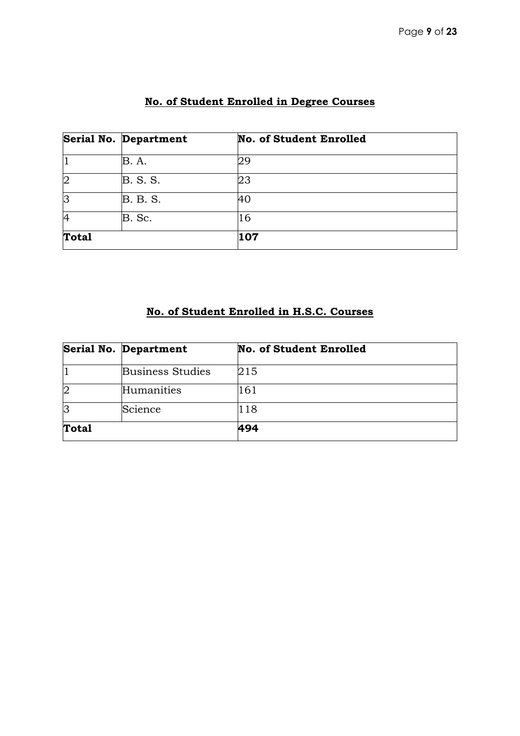|                | Serial No. Department | <b>No. of Student Enrolled</b> |
|----------------|-----------------------|--------------------------------|
|                | B. A.                 | 29                             |
| $\overline{2}$ | <b>B.</b> S. S.       | 23                             |
| 3              | <b>B. B. S.</b>       | 140                            |
| 4              | B. Sc.                | 16                             |
| <b>Total</b>   |                       | 107                            |

# **No. of Student Enrolled in Degree Courses**

#### **No. of Student Enrolled in H.S.C. Courses**

|              | <b>Serial No. Department</b> | <b>No. of Student Enrolled</b> |  |
|--------------|------------------------------|--------------------------------|--|
|              | <b>Business Studies</b>      | 215                            |  |
| 2            | Humanities                   | 161                            |  |
| lЗ           | Science                      | 118                            |  |
| <b>Total</b> |                              | 494                            |  |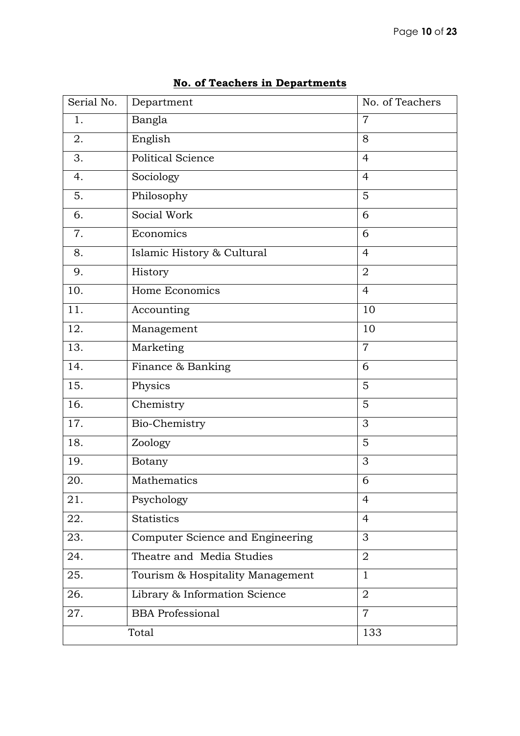| Serial No. | Department                       | No. of Teachers |
|------------|----------------------------------|-----------------|
| 1.         | Bangla                           | $\overline{7}$  |
| 2.         | English                          | 8               |
| 3.         | <b>Political Science</b>         | $\overline{4}$  |
| 4.         | Sociology                        | $\overline{4}$  |
| 5.         | Philosophy                       | 5               |
| 6.         | Social Work                      | 6               |
| 7.         | Economics                        | 6               |
| 8.         | Islamic History & Cultural       | $\overline{4}$  |
| 9.         | History                          | $\overline{2}$  |
| 10.        | Home Economics                   | $\overline{4}$  |
| 11.        | Accounting                       | 10              |
| 12.        | Management                       | 10              |
| 13.        | Marketing                        | $\overline{7}$  |
| 14.        | Finance & Banking                | 6               |
| 15.        | Physics                          | 5               |
| 16.        | Chemistry                        | 5               |
| 17.        | Bio-Chemistry                    | 3               |
| 18.        | Zoology                          | 5               |
| 19.        | <b>Botany</b>                    | 3               |
| 20.        | Mathematics                      | 6               |
| 21.        | Psychology                       | 4               |
| 22.        | <b>Statistics</b>                | $\overline{4}$  |
| 23.        | Computer Science and Engineering | 3               |
| 24.        | Theatre and Media Studies        | $\overline{2}$  |
| 25.        | Tourism & Hospitality Management | $\mathbf{1}$    |
| 26.        | Library & Information Science    | $\overline{2}$  |
| 27.        | <b>BBA</b> Professional          | $\overline{7}$  |
|            | Total                            | 133             |

#### **No. of Teachers in Departments**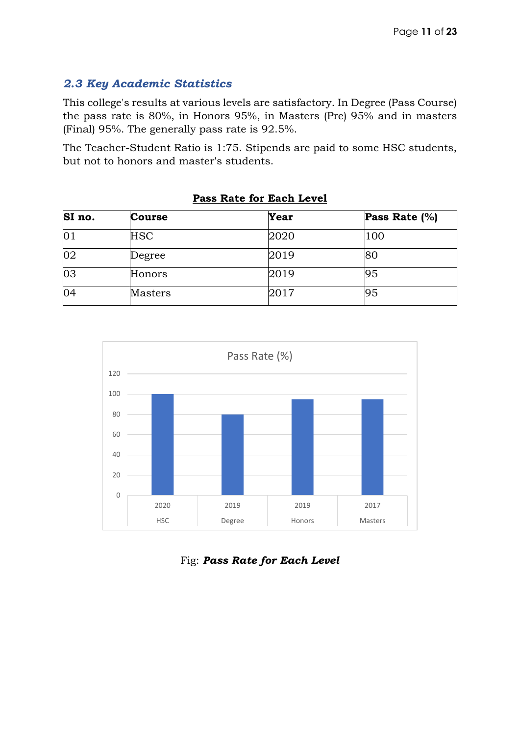#### *2.3 Key Academic Statistics*

This college's results at various levels are satisfactory. In Degree (Pass Course) the pass rate is 80%, in Honors 95%, in Masters (Pre) 95% and in masters (Final) 95%. The generally pass rate is 92.5%.

The Teacher-Student Ratio is 1:75. Stipends are paid to some HSC students, but not to honors and master's students.

| SI no.          | <b>Course</b> | Year | Pass Rate $(\%)$ |  |  |
|-----------------|---------------|------|------------------|--|--|
| $\overline{01}$ | <b>HSC</b>    | 2020 | 100              |  |  |
| $\overline{02}$ | Degree        | 2019 | 80               |  |  |
| $\overline{03}$ | Honors        | 2019 | 95               |  |  |
| 04              | Masters       | 2017 | 95               |  |  |

#### **Pass Rate for Each Level**



#### Fig: *Pass Rate for Each Level*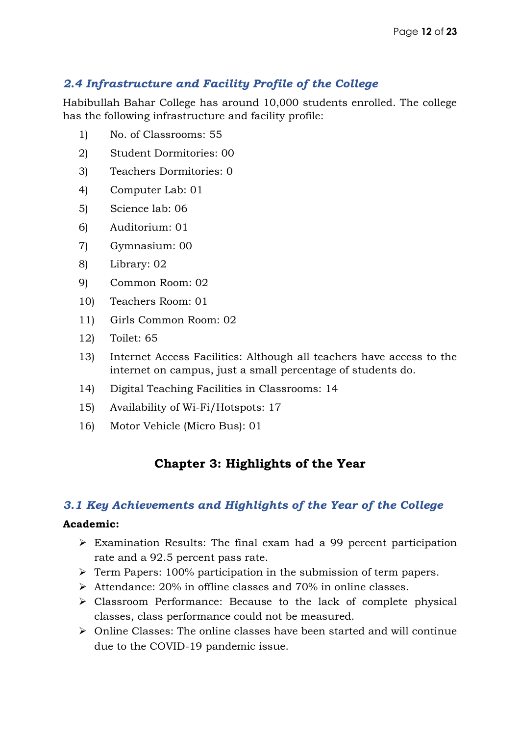#### *2.4 Infrastructure and Facility Profile of the College*

Habibullah Bahar College has around 10,000 students enrolled. The college has the following infrastructure and facility profile:

- 1) No. of Classrooms: 55
- 2) Student Dormitories: 00
- 3) Teachers Dormitories: 0
- 4) Computer Lab: 01
- 5) Science lab: 06
- 6) Auditorium: 01
- 7) Gymnasium: 00
- 8) Library: 02
- 9) Common Room: 02
- 10) Teachers Room: 01
- 11) Girls Common Room: 02
- 12) Toilet: 65
- 13) Internet Access Facilities: Although all teachers have access to the internet on campus, just a small percentage of students do.
- 14) Digital Teaching Facilities in Classrooms: 14
- 15) Availability of Wi-Fi/Hotspots: 17
- 16) Motor Vehicle (Micro Bus): 01

### **Chapter 3: Highlights of the Year**

#### *3.1 Key Achievements and Highlights of the Year of the College*

#### **Academic:**

- $\triangleright$  Examination Results: The final exam had a 99 percent participation rate and a 92.5 percent pass rate.
- $\triangleright$  Term Papers: 100% participation in the submission of term papers.
- $\triangleright$  Attendance: 20% in offline classes and 70% in online classes.
- Classroom Performance: Because to the lack of complete physical classes, class performance could not be measured.
- $\triangleright$  Online Classes: The online classes have been started and will continue due to the COVID-19 pandemic issue.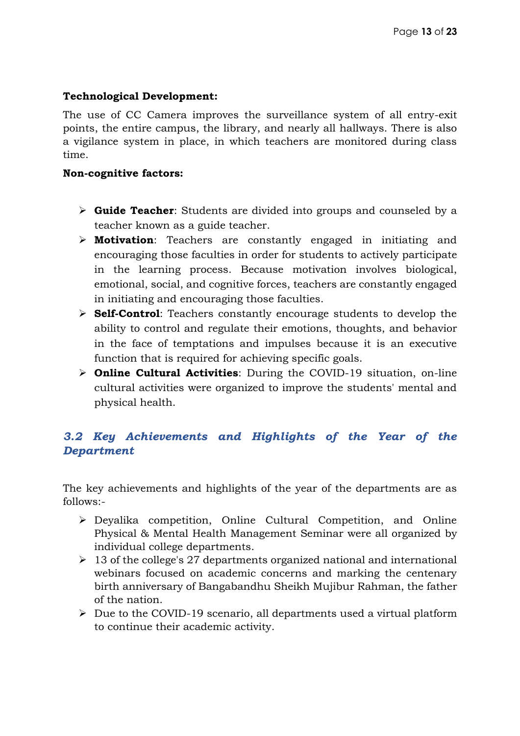#### **Technological Development:**

The use of CC Camera improves the surveillance system of all entry-exit points, the entire campus, the library, and nearly all hallways. There is also a vigilance system in place, in which teachers are monitored during class time.

#### **Non-cognitive factors:**

- **Guide Teacher**: Students are divided into groups and counseled by a teacher known as a guide teacher.
- **Motivation**: Teachers are constantly engaged in initiating and encouraging those faculties in order for students to actively participate in the learning process. Because motivation involves biological, emotional, social, and cognitive forces, teachers are constantly engaged in initiating and encouraging those faculties.
- **Self-Control**: Teachers constantly encourage students to develop the ability to control and regulate their emotions, thoughts, and behavior in the face of temptations and impulses because it is an executive function that is required for achieving specific goals.
- **Online Cultural Activities**: During the COVID-19 situation, on-line cultural activities were organized to improve the students' mental and physical health.

#### *3.2 Key Achievements and Highlights of the Year of the Department*

The key achievements and highlights of the year of the departments are as follows:-

- Deyalika competition, Online Cultural Competition, and Online Physical & Mental Health Management Seminar were all organized by individual college departments.
- $\geq 13$  of the college's 27 departments organized national and international webinars focused on academic concerns and marking the centenary birth anniversary of Bangabandhu Sheikh Mujibur Rahman, the father of the nation.
- $\triangleright$  Due to the COVID-19 scenario, all departments used a virtual platform to continue their academic activity.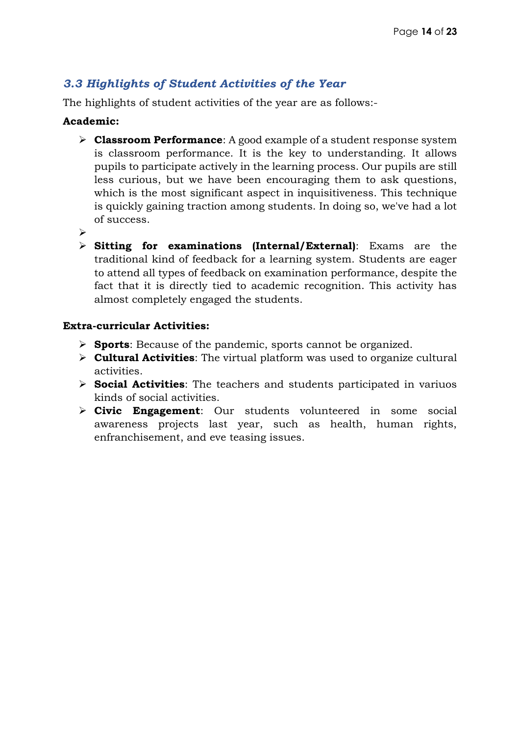#### *3.3 Highlights of Student Activities of the Year*

The highlights of student activities of the year are as follows:-

#### **Academic:**

- **Classroom Performance**: A good example of a student response system is classroom performance. It is the key to understanding. It allows pupils to participate actively in the learning process. Our pupils are still less curious, but we have been encouraging them to ask questions, which is the most significant aspect in inquisitiveness. This technique is quickly gaining traction among students. In doing so, we've had a lot of success.
- $\blacktriangleright$
- **Sitting for examinations (Internal/External)**: Exams are the traditional kind of feedback for a learning system. Students are eager to attend all types of feedback on examination performance, despite the fact that it is directly tied to academic recognition. This activity has almost completely engaged the students.

#### **Extra-curricular Activities:**

- **Sports**: Because of the pandemic, sports cannot be organized.
- **Cultural Activities**: The virtual platform was used to organize cultural activities.
- **Social Activities**: The teachers and students participated in variuos kinds of social activities.
- **Civic Engagement**: Our students volunteered in some social awareness projects last year, such as health, human rights, enfranchisement, and eve teasing issues.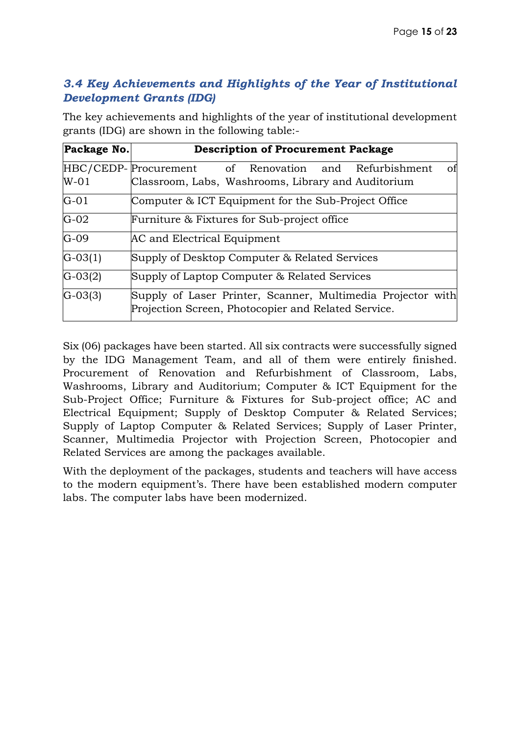#### *3.4 Key Achievements and Highlights of the Year of Institutional Development Grants (IDG)*

| The key achievements and highlights of the year of institutional development |
|------------------------------------------------------------------------------|
| grants (IDG) are shown in the following table:-                              |

| Package No. | <b>Description of Procurement Package</b>                                                                          |  |  |  |
|-------------|--------------------------------------------------------------------------------------------------------------------|--|--|--|
|             | HBC/CEDP-Procurement of Renovation and Refurbishment<br>of                                                         |  |  |  |
| $W-01$      | Classroom, Labs, Washrooms, Library and Auditorium                                                                 |  |  |  |
| $G-01$      | Computer & ICT Equipment for the Sub-Project Office                                                                |  |  |  |
| $G-02$      | Furniture & Fixtures for Sub-project office                                                                        |  |  |  |
| $G-09$      | AC and Electrical Equipment                                                                                        |  |  |  |
| $G-03(1)$   | Supply of Desktop Computer & Related Services                                                                      |  |  |  |
| $G-03(2)$   | Supply of Laptop Computer & Related Services                                                                       |  |  |  |
| $G-03(3)$   | Supply of Laser Printer, Scanner, Multimedia Projector with<br>Projection Screen, Photocopier and Related Service. |  |  |  |

Six (06) packages have been started. All six contracts were successfully signed by the IDG Management Team, and all of them were entirely finished. Procurement of Renovation and Refurbishment of Classroom, Labs, Washrooms, Library and Auditorium; Computer & ICT Equipment for the Sub-Project Office; Furniture & Fixtures for Sub-project office; AC and Electrical Equipment; Supply of Desktop Computer & Related Services; Supply of Laptop Computer & Related Services; Supply of Laser Printer, Scanner, Multimedia Projector with Projection Screen, Photocopier and Related Services are among the packages available.

With the deployment of the packages, students and teachers will have access to the modern equipment's. There have been established modern computer labs. The computer labs have been modernized.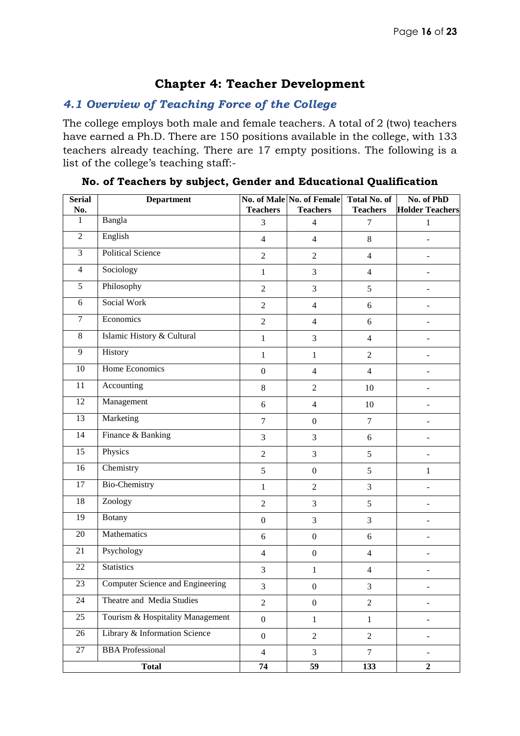#### **Chapter 4: Teacher Development**

#### *4.1 Overview of Teaching Force of the College*

The college employs both male and female teachers. A total of 2 (two) teachers have earned a Ph.D. There are 150 positions available in the college, with 133 teachers already teaching. There are 17 empty positions. The following is a list of the college's teaching staff:-

| <b>Serial</b><br>No. | <b>Department</b>                | <b>Teachers</b>  | No. of Male No. of Female<br><b>Teachers</b> | Total No. of<br><b>Teachers</b> | No. of PhD<br><b>Holder Teachers</b> |
|----------------------|----------------------------------|------------------|----------------------------------------------|---------------------------------|--------------------------------------|
| 1                    | Bangla                           | 3                | $\overline{4}$                               | 7                               | 1                                    |
| $\overline{2}$       | English                          | $\overline{4}$   | $\overline{4}$                               | $\,8\,$                         |                                      |
| $\overline{3}$       | <b>Political Science</b>         | $\overline{2}$   | $\overline{2}$                               | $\overline{4}$                  |                                      |
| $\overline{4}$       | Sociology                        | $\mathbf{1}$     | 3                                            | $\overline{4}$                  |                                      |
| 5                    | Philosophy                       | $\overline{2}$   | 3                                            | 5                               |                                      |
| 6                    | Social Work                      | $\boldsymbol{2}$ | $\overline{4}$                               | $\sqrt{6}$                      |                                      |
| $\overline{7}$       | Economics                        | $\overline{2}$   | $\overline{4}$                               | $6\,$                           |                                      |
| 8                    | Islamic History & Cultural       | $\mathbf{1}$     | 3                                            | $\overline{4}$                  |                                      |
| $\overline{9}$       | History                          | $\mathbf{1}$     | $\mathbf{1}$                                 | $\overline{2}$                  |                                      |
| 10                   | <b>Home Economics</b>            | $\boldsymbol{0}$ | $\overline{4}$                               | $\overline{4}$                  |                                      |
| 11                   | Accounting                       | $8\,$            | $\overline{2}$                               | 10                              |                                      |
| $\overline{12}$      | Management                       | 6                | $\overline{4}$                               | 10                              |                                      |
| 13                   | Marketing                        | $\tau$           | $\boldsymbol{0}$                             | $\overline{7}$                  |                                      |
| 14                   | Finance & Banking                | 3                | 3                                            | 6                               |                                      |
| 15                   | Physics                          | $\overline{2}$   | 3                                            | 5                               |                                      |
| $\overline{16}$      | Chemistry                        | 5                | $\boldsymbol{0}$                             | 5                               | $\mathbf{1}$                         |
| $\overline{17}$      | <b>Bio-Chemistry</b>             | $\mathbf{1}$     | $\overline{c}$                               | 3                               |                                      |
| 18                   | Zoology                          | $\overline{c}$   | 3                                            | 5                               |                                      |
| 19                   | <b>Botany</b>                    | $\boldsymbol{0}$ | 3                                            | 3                               |                                      |
| 20                   | Mathematics                      | $6\,$            | $\boldsymbol{0}$                             | $6\,$                           |                                      |
| 21                   | Psychology                       | $\overline{4}$   | $\boldsymbol{0}$                             | $\overline{4}$                  |                                      |
| 22                   | <b>Statistics</b>                | 3                | $\mathbf{1}$                                 | $\overline{4}$                  |                                      |
| $23\,$               | Computer Science and Engineering | 3                | $\boldsymbol{0}$                             | 3                               |                                      |
| 24                   | Theatre and Media Studies        | $\overline{2}$   | $\boldsymbol{0}$                             | $\overline{2}$                  |                                      |
| 25                   | Tourism & Hospitality Management | $\boldsymbol{0}$ | $\mathbf{1}$                                 | $\mathbf{1}$                    |                                      |
| 26                   | Library & Information Science    | $\boldsymbol{0}$ | $\overline{2}$                               | $\overline{2}$                  |                                      |
| 27                   | <b>BBA</b> Professional          | $\overline{4}$   | $\overline{3}$                               | $\overline{7}$                  |                                      |
|                      | <b>Total</b>                     | $\overline{74}$  | $\overline{59}$                              | $\overline{133}$                | $\overline{2}$                       |

#### **No. of Teachers by subject, Gender and Educational Qualification**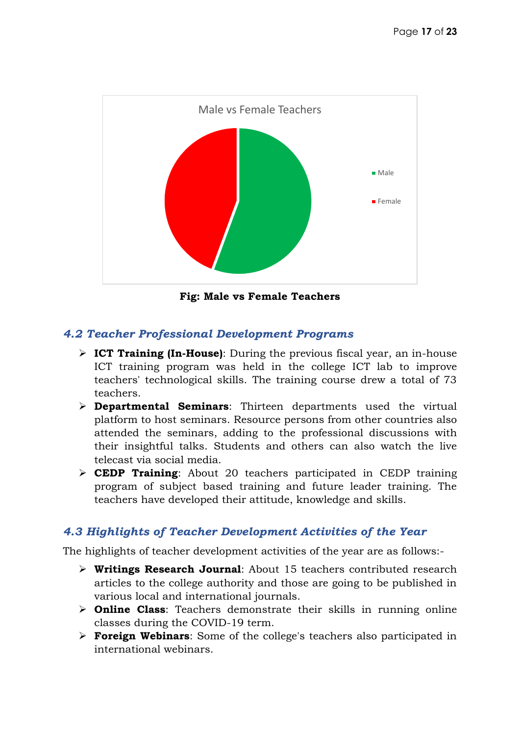

**Fig: Male vs Female Teachers**

#### *4.2 Teacher Professional Development Programs*

- **ICT Training (In-House)**: During the previous fiscal year, an in-house ICT training program was held in the college ICT lab to improve teachers' technological skills. The training course drew a total of 73 teachers.
- **Departmental Seminars**: Thirteen departments used the virtual platform to host seminars. Resource persons from other countries also attended the seminars, adding to the professional discussions with their insightful talks. Students and others can also watch the live telecast via social media.
- **CEDP Training**: About 20 teachers participated in CEDP training program of subject based training and future leader training. The teachers have developed their attitude, knowledge and skills.

#### *4.3 Highlights of Teacher Development Activities of the Year*

The highlights of teacher development activities of the year are as follows:-

- **Writings Research Journal**: About 15 teachers contributed research articles to the college authority and those are going to be published in various local and international journals.
- **Online Class**: Teachers demonstrate their skills in running online classes during the COVID-19 term.
- **Foreign Webinars**: Some of the college's teachers also participated in international webinars.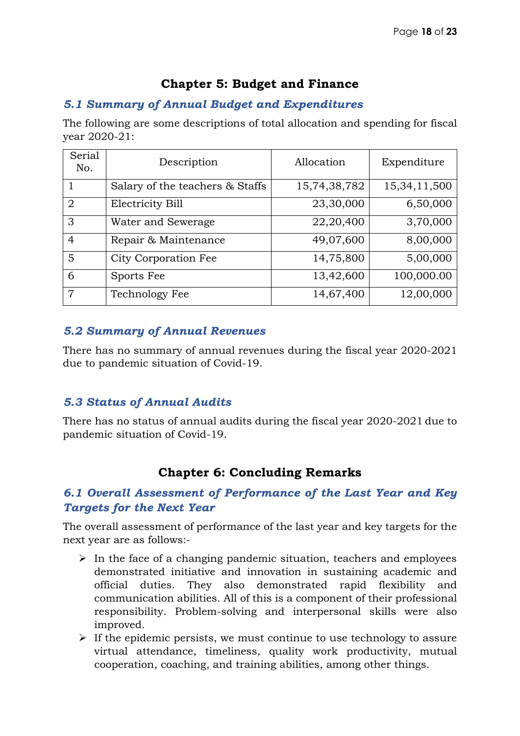#### **Chapter 5: Budget and Finance**

#### *5.1 Summary of Annual Budget and Expenditures*

The following are some descriptions of total allocation and spending for fiscal year 2020-21:

| Serial<br>No.  | Description                     | Allocation   | Expenditure     |
|----------------|---------------------------------|--------------|-----------------|
|                | Salary of the teachers & Staffs | 15,74,38,782 | 15, 34, 11, 500 |
| $\overline{2}$ | <b>Electricity Bill</b>         | 23,30,000    | 6,50,000        |
| 3              | Water and Sewerage              | 22,20,400    | 3,70,000        |
| 4              | Repair & Maintenance            | 49,07,600    | 8,00,000        |
| 5              | City Corporation Fee            | 14,75,800    | 5,00,000        |
| 6              | Sports Fee                      | 13,42,600    | 100,000.00      |
| 7              | Technology Fee                  | 14,67,400    | 12,00,000       |

#### *5.2 Summary of Annual Revenues*

There has no summary of annual revenues during the fiscal year 2020-2021 due to pandemic situation of Covid-19.

#### *5.3 Status of Annual Audits*

There has no status of annual audits during the fiscal year 2020-2021 due to pandemic situation of Covid-19.

#### **Chapter 6: Concluding Remarks**

#### *6.1 Overall Assessment of Performance of the Last Year and Key Targets for the Next Year*

The overall assessment of performance of the last year and key targets for the next year are as follows:-

- $\triangleright$  In the face of a changing pandemic situation, teachers and employees demonstrated initiative and innovation in sustaining academic and official duties. They also demonstrated rapid flexibility and communication abilities. All of this is a component of their professional responsibility. Problem-solving and interpersonal skills were also improved.
- $\triangleright$  If the epidemic persists, we must continue to use technology to assure virtual attendance, timeliness, quality work productivity, mutual cooperation, coaching, and training abilities, among other things.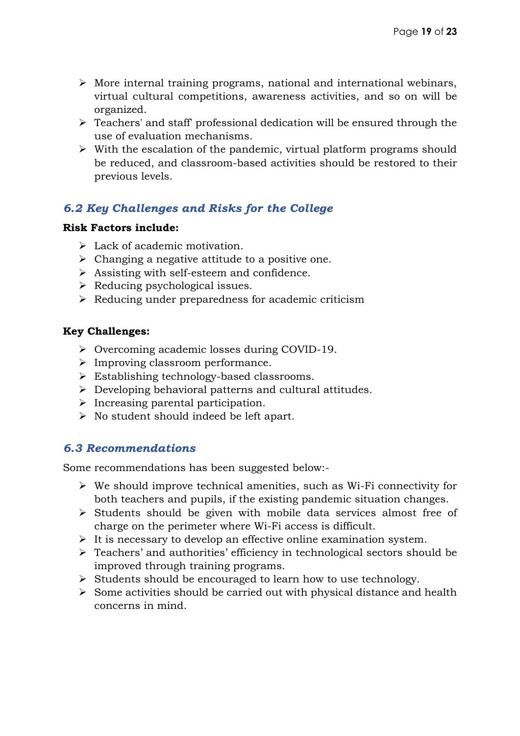- $\triangleright$  More internal training programs, national and international webinars, virtual cultural competitions, awareness activities, and so on will be organized.
- $\triangleright$  Teachers' and staff' professional dedication will be ensured through the use of evaluation mechanisms.
- $\triangleright$  With the escalation of the pandemic, virtual platform programs should be reduced, and classroom-based activities should be restored to their previous levels.

#### *6.2 Key Challenges and Risks for the College*

#### **Risk Factors include:**

- $\triangleright$  Lack of academic motivation.
- $\triangleright$  Changing a negative attitude to a positive one.
- $\triangleright$  Assisting with self-esteem and confidence.
- $\triangleright$  Reducing psychological issues.
- $\triangleright$  Reducing under preparedness for academic criticism

#### **Key Challenges:**

- Overcoming academic losses during COVID-19.
- $\triangleright$  Improving classroom performance.
- Establishing technology-based classrooms.
- $\triangleright$  Developing behavioral patterns and cultural attitudes.
- $\triangleright$  Increasing parental participation.
- $\triangleright$  No student should indeed be left apart.

#### *6.3 Recommendations*

Some recommendations has been suggested below:-

- $\triangleright$  We should improve technical amenities, such as Wi-Fi connectivity for both teachers and pupils, if the existing pandemic situation changes.
- $\triangleright$  Students should be given with mobile data services almost free of charge on the perimeter where Wi-Fi access is difficult.
- $\triangleright$  It is necessary to develop an effective online examination system.
- Teachers' and authorities' efficiency in technological sectors should be improved through training programs.
- $\triangleright$  Students should be encouraged to learn how to use technology.
- $\triangleright$  Some activities should be carried out with physical distance and health concerns in mind.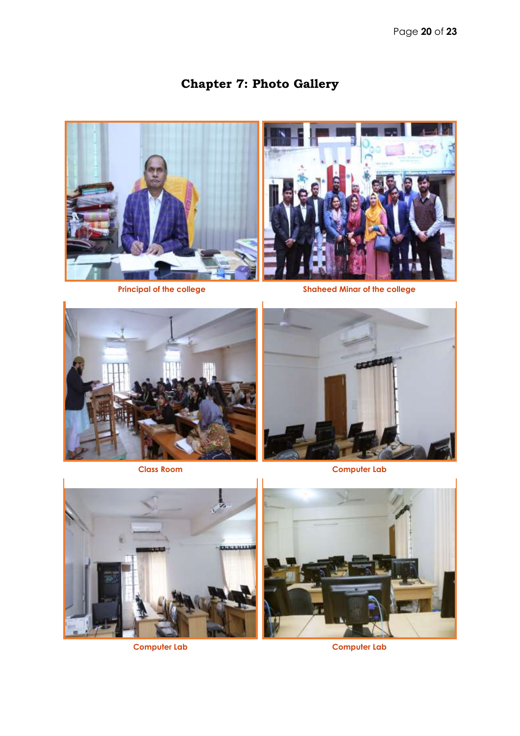# **Chapter 7: Photo Gallery**





**Principal of the college Shaheed Minar of the college**





**Class Room Computer Lab** 





**Computer Lab Computer Lab**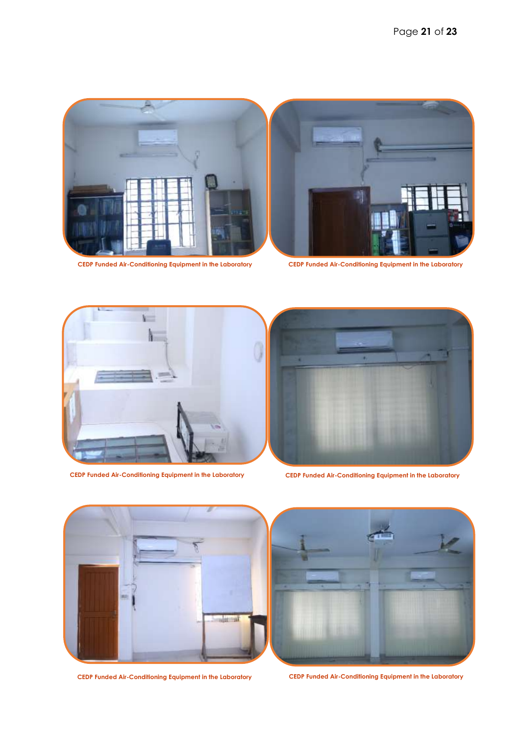

**CEDP Funded Air-Conditioning Equipment in the Laboratory CEDP Funded Air-Conditioning Equipment in the Laboratory**





**CEDP Funded Air-Conditioning Equipment in the Laboratory CEDP Funded Air-Conditioning Equipment in the Laboratory**







**CEDP Funded Air-Conditioning Equipment in the Laboratory CEDP Funded Air-Conditioning Equipment in the Laboratory**